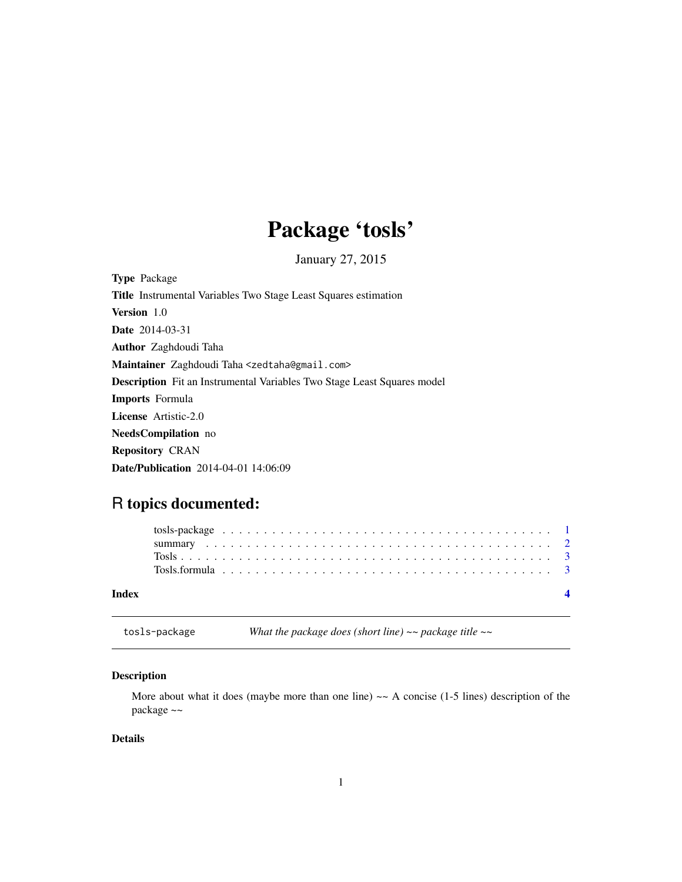## Package 'tosls'

January 27, 2015

<span id="page-0-0"></span>Type Package Title Instrumental Variables Two Stage Least Squares estimation Version 1.0 Date 2014-03-31 Author Zaghdoudi Taha Maintainer Zaghdoudi Taha <zedtaha@gmail.com> Description Fit an Instrumental Variables Two Stage Least Squares model Imports Formula License Artistic-2.0 NeedsCompilation no Repository CRAN Date/Publication 2014-04-01 14:06:09

## R topics documented:

| Index |  |  |  |  |  |  |  |  |  |  |  |  |  |  |  |  |  |  |  |  |
|-------|--|--|--|--|--|--|--|--|--|--|--|--|--|--|--|--|--|--|--|--|
|       |  |  |  |  |  |  |  |  |  |  |  |  |  |  |  |  |  |  |  |  |
|       |  |  |  |  |  |  |  |  |  |  |  |  |  |  |  |  |  |  |  |  |
|       |  |  |  |  |  |  |  |  |  |  |  |  |  |  |  |  |  |  |  |  |

tosls-package *What the package does (short line) ~~ package title ~~*

## Description

More about what it does (maybe more than one line)  $\sim$  A concise (1-5 lines) description of the package ~~

## Details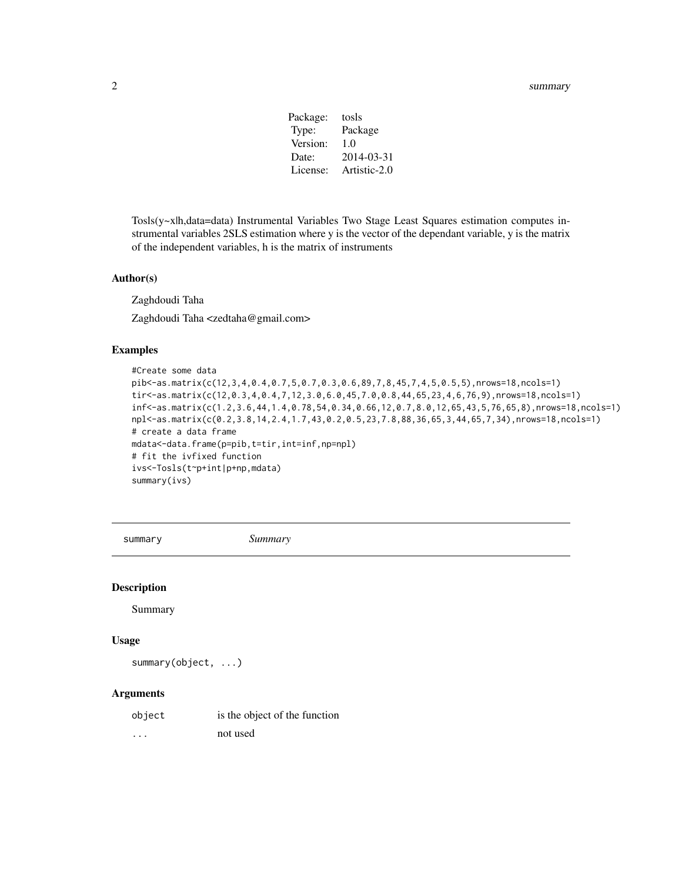#### <span id="page-1-0"></span>2 summary summary summary summary summary summary summary summary summary summary summary summary

| Package: | tosls        |
|----------|--------------|
| Type:    | Package      |
| Version: | 1.0          |
| Date:    | 2014-03-31   |
| License: | Artistic-2.0 |
|          |              |

Tosls(y~x|h,data=data) Instrumental Variables Two Stage Least Squares estimation computes instrumental variables 2SLS estimation where y is the vector of the dependant variable, y is the matrix of the independent variables, h is the matrix of instruments

#### Author(s)

Zaghdoudi Taha

Zaghdoudi Taha <zedtaha@gmail.com>

## Examples

```
#Create some data
pib<-as.matrix(c(12,3,4,0.4,0.7,5,0.7,0.3,0.6,89,7,8,45,7,4,5,0.5,5),nrows=18,ncols=1)
tir<-as.matrix(c(12,0.3,4,0.4,7,12,3.0,6.0,45,7.0,0.8,44,65,23,4,6,76,9),nrows=18,ncols=1)
inf<-as.matrix(c(1.2,3.6,44,1.4,0.78,54,0.34,0.66,12,0.7,8.0,12,65,43,5,76,65,8),nrows=18,ncols=1)
npl<-as.matrix(c(0.2,3.8,14,2.4,1.7,43,0.2,0.5,23,7.8,88,36,65,3,44,65,7,34),nrows=18,ncols=1)
# create a data frame
mdata<-data.frame(p=pib,t=tir,int=inf,np=npl)
# fit the ivfixed function
ivs<-Tosls(t~p+int|p+np,mdata)
summary(ivs)
```
summary *Summary*

#### Description

Summary

#### Usage

summary(object, ...)

#### Arguments

| object   | is the object of the function |
|----------|-------------------------------|
| $\cdots$ | not used                      |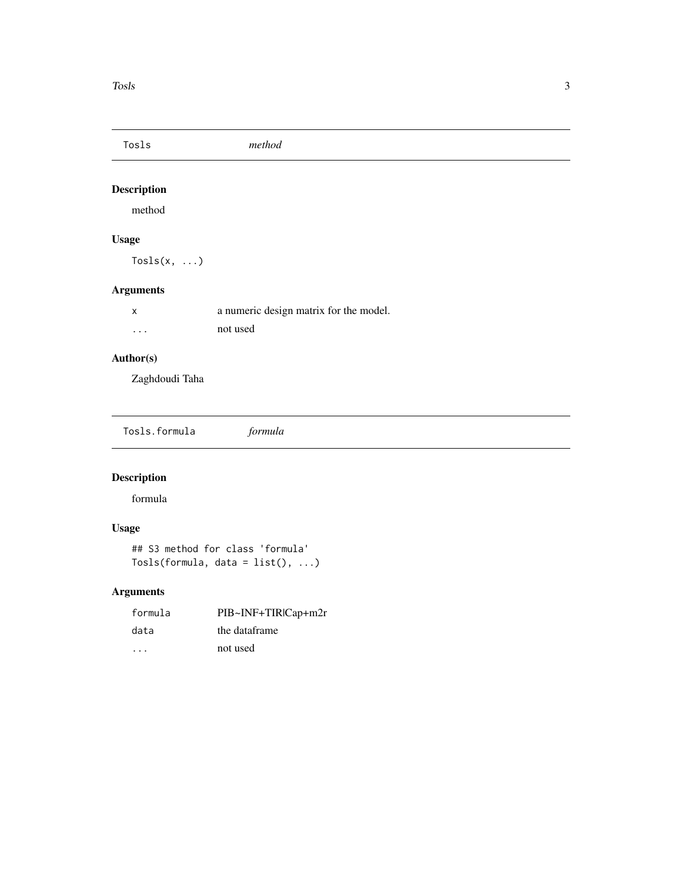<span id="page-2-0"></span>

## Description

method

## Usage

Tosls $(x, \ldots)$ 

## Arguments

|          | a numeric design matrix for the model. |
|----------|----------------------------------------|
| $\cdots$ | not used                               |

## Author(s)

Zaghdoudi Taha

Tosls.formula *formula*

## Description

formula

## Usage

## S3 method for class 'formula' Tosls(formula, data = list(), ...)

## Arguments

| formula | PIB~INF+TIRICap+m2r |
|---------|---------------------|
| data    | the dataframe       |
| .       | not used            |